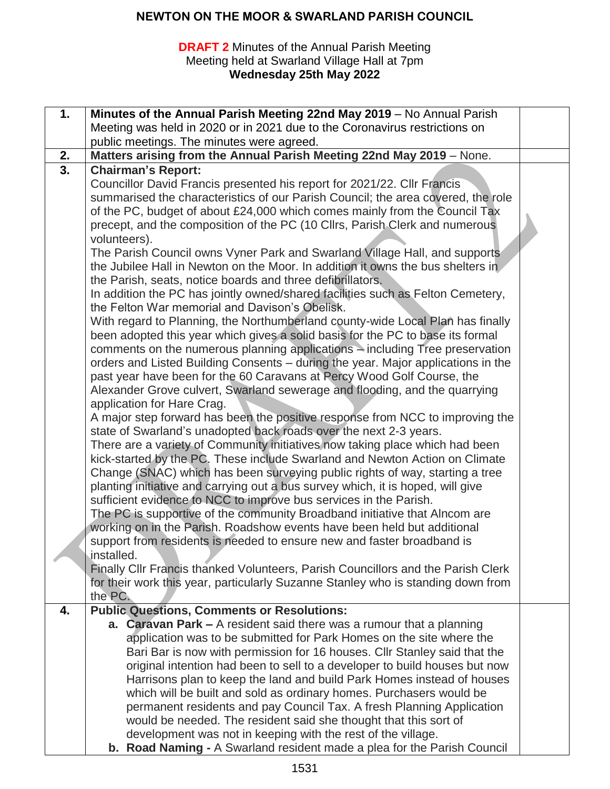#### **DRAFT 2** Minutes of the Annual Parish Meeting Meeting held at Swarland Village Hall at 7pm **Wednesday 25th May 2022**

| 1.               | Minutes of the Annual Parish Meeting 22nd May 2019 - No Annual Parish                                                                             |  |
|------------------|---------------------------------------------------------------------------------------------------------------------------------------------------|--|
|                  | Meeting was held in 2020 or in 2021 due to the Coronavirus restrictions on                                                                        |  |
|                  | public meetings. The minutes were agreed.                                                                                                         |  |
| 2.               | Matters arising from the Annual Parish Meeting 22nd May 2019 - None.                                                                              |  |
| $\overline{3}$ . | <b>Chairman's Report:</b>                                                                                                                         |  |
|                  | Councillor David Francis presented his report for 2021/22. Cllr Francis                                                                           |  |
|                  | summarised the characteristics of our Parish Council; the area covered, the role                                                                  |  |
|                  | of the PC, budget of about £24,000 which comes mainly from the Council Tax                                                                        |  |
|                  | precept, and the composition of the PC (10 Cllrs, Parish Clerk and numerous                                                                       |  |
|                  | volunteers).                                                                                                                                      |  |
|                  | The Parish Council owns Vyner Park and Swarland Village Hall, and supports                                                                        |  |
|                  | the Jubilee Hall in Newton on the Moor. In addition it owns the bus shelters in                                                                   |  |
|                  | the Parish, seats, notice boards and three defibrillators.                                                                                        |  |
|                  | In addition the PC has jointly owned/shared facilities such as Felton Cemetery,                                                                   |  |
|                  | the Felton War memorial and Davison's Obelisk.                                                                                                    |  |
|                  | With regard to Planning, the Northumberland county-wide Local Plan has finally                                                                    |  |
|                  | been adopted this year which gives a solid basis for the PC to base its formal                                                                    |  |
|                  | comments on the numerous planning applications - including Tree preservation                                                                      |  |
|                  | orders and Listed Building Consents - during the year. Major applications in the                                                                  |  |
|                  | past year have been for the 60 Caravans at Percy Wood Golf Course, the                                                                            |  |
|                  | Alexander Grove culvert, Swarland sewerage and flooding, and the quarrying                                                                        |  |
|                  | application for Hare Crag.                                                                                                                        |  |
|                  | A major step forward has been the positive response from NCC to improving the                                                                     |  |
|                  | state of Swarland's unadopted back roads over the next 2-3 years.<br>There are a variety of Community initiatives now taking place which had been |  |
|                  | kick-started by the PC. These include Swarland and Newton Action on Climate                                                                       |  |
|                  | Change (SNAC) which has been surveying public rights of way, starting a tree                                                                      |  |
|                  | planting initiative and carrying out a bus survey which, it is hoped, will give                                                                   |  |
|                  | sufficient evidence to NCC to improve bus services in the Parish.                                                                                 |  |
|                  | The PC is supportive of the community Broadband initiative that Alncom are                                                                        |  |
|                  | working on in the Parish. Roadshow events have been held but additional                                                                           |  |
|                  | support from residents is needed to ensure new and faster broadband is                                                                            |  |
|                  | installed.                                                                                                                                        |  |
|                  | Finally CIIr Francis thanked Volunteers, Parish Councillors and the Parish Clerk                                                                  |  |
|                  | for their work this year, particularly Suzanne Stanley who is standing down from                                                                  |  |
|                  | the PC.                                                                                                                                           |  |
| 4.               | <b>Public Questions, Comments or Resolutions:</b>                                                                                                 |  |
|                  | a. Caravan Park $-$ A resident said there was a rumour that a planning                                                                            |  |
|                  | application was to be submitted for Park Homes on the site where the                                                                              |  |
|                  | Bari Bar is now with permission for 16 houses. Cllr Stanley said that the                                                                         |  |
|                  | original intention had been to sell to a developer to build houses but now                                                                        |  |
|                  | Harrisons plan to keep the land and build Park Homes instead of houses                                                                            |  |
|                  | which will be built and sold as ordinary homes. Purchasers would be<br>permanent residents and pay Council Tax. A fresh Planning Application      |  |
|                  | would be needed. The resident said she thought that this sort of                                                                                  |  |
|                  | development was not in keeping with the rest of the village.                                                                                      |  |
|                  | b. Road Naming - A Swarland resident made a plea for the Parish Council                                                                           |  |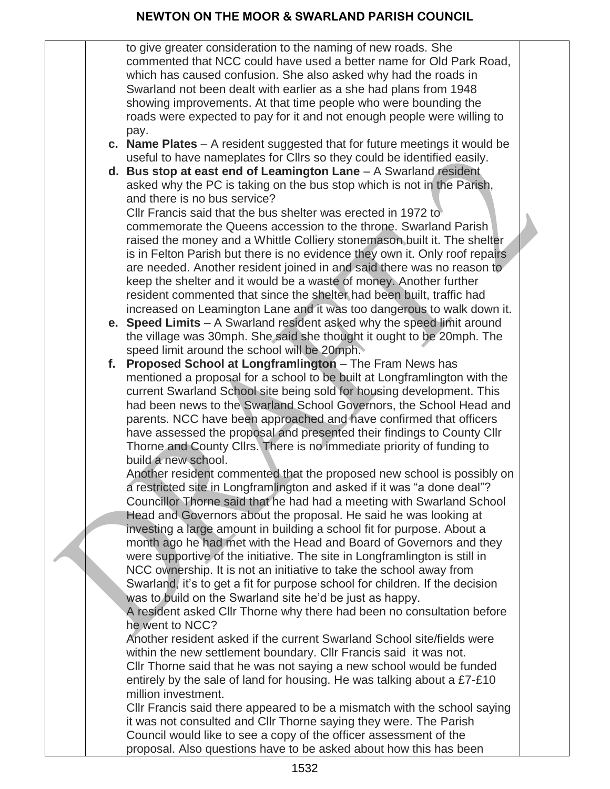to give greater consideration to the naming of new roads. She commented that NCC could have used a better name for Old Park Road, which has caused confusion. She also asked why had the roads in Swarland not been dealt with earlier as a she had plans from 1948 showing improvements. At that time people who were bounding the roads were expected to pay for it and not enough people were willing to pay.

- **c. Name Plates**  A resident suggested that for future meetings it would be useful to have nameplates for Cllrs so they could be identified easily.
- **d.** Bus stop at east end of Leamington Lane A Swarland resident asked why the PC is taking on the bus stop which is not in the Parish, and there is no bus service?

Cllr Francis said that the bus shelter was erected in 1972 to commemorate the Queens accession to the throne. Swarland Parish raised the money and a Whittle Colliery stonemason built it. The shelter is in Felton Parish but there is no evidence they own it. Only roof repairs are needed. Another resident joined in and said there was no reason to keep the shelter and it would be a waste of money. Another further resident commented that since the shelter had been built, traffic had increased on Leamington Lane and it was too dangerous to walk down it.

- **e. Speed Limits** A Swarland resident asked why the speed limit around the village was 30mph. She said she thought it ought to be 20mph. The speed limit around the school will be 20mph.
- **f. Proposed School at Longframlington**  The Fram News has mentioned a proposal for a school to be built at Longframlington with the current Swarland School site being sold for housing development. This had been news to the Swarland School Governors, the School Head and parents. NCC have been approached and have confirmed that officers have assessed the proposal and presented their findings to County Cllr Thorne and County Cllrs. There is no immediate priority of funding to build a new school.

Another resident commented that the proposed new school is possibly on a restricted site in Longframlington and asked if it was "a done deal"? Councillor Thorne said that he had had a meeting with Swarland School Head and Governors about the proposal. He said he was looking at investing a large amount in building a school fit for purpose. About a month ago he had met with the Head and Board of Governors and they were supportive of the initiative. The site in Longframlington is still in NCC ownership. It is not an initiative to take the school away from Swarland, it's to get a fit for purpose school for children. If the decision was to build on the Swarland site he'd be just as happy.

A resident asked Cllr Thorne why there had been no consultation before he went to NCC?

Another resident asked if the current Swarland School site/fields were within the new settlement boundary. Cllr Francis said it was not. Cllr Thorne said that he was not saying a new school would be funded entirely by the sale of land for housing. He was talking about a £7-£10 million investment.

Cllr Francis said there appeared to be a mismatch with the school saying it was not consulted and Cllr Thorne saying they were. The Parish Council would like to see a copy of the officer assessment of the proposal. Also questions have to be asked about how this has been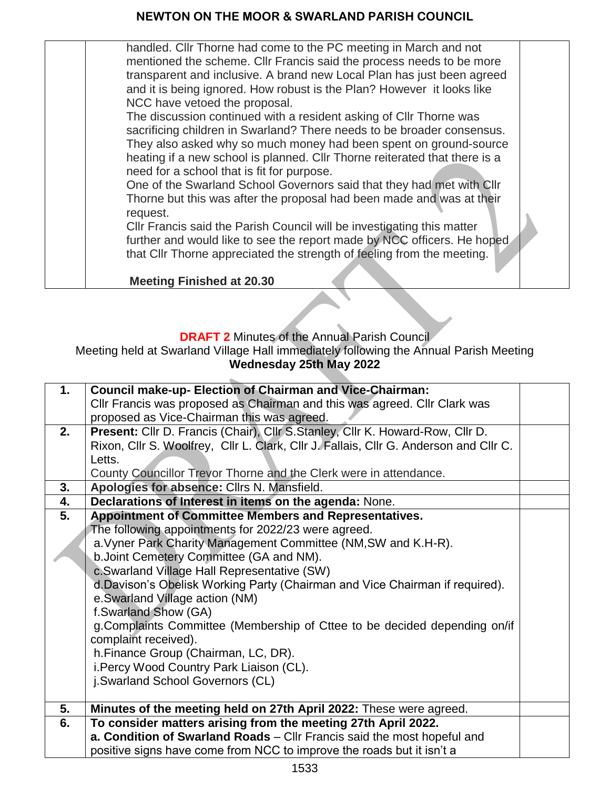handled. Cllr Thorne had come to the PC meeting in March and not mentioned the scheme. Cllr Francis said the process needs to be more transparent and inclusive. A brand new Local Plan has just been agreed and it is being ignored. How robust is the Plan? However it looks like NCC have vetoed the proposal.

The discussion continued with a resident asking of Cllr Thorne was sacrificing children in Swarland? There needs to be broader consensus. They also asked why so much money had been spent on ground-source heating if a new school is planned. Cllr Thorne reiterated that there is a need for a school that is fit for purpose.

One of the Swarland School Governors said that they had met with Cllr Thorne but this was after the proposal had been made and was at their request.

Cllr Francis said the Parish Council will be investigating this matter further and would like to see the report made by NCC officers. He hoped that Cllr Thorne appreciated the strength of feeling from the meeting.

**Meeting Finished at 20.30**

#### **DRAFT 2** Minutes of the Annual Parish Council

Meeting held at Swarland Village Hall immediately following the Annual Parish Meeting **Wednesday 25th May 2022**

| 1. | <b>Council make-up- Election of Chairman and Vice-Chairman:</b>                       |  |
|----|---------------------------------------------------------------------------------------|--|
|    | CIIr Francis was proposed as Chairman and this was agreed. CIIr Clark was             |  |
|    | proposed as Vice-Chairman this was agreed.                                            |  |
| 2. | Present: Cllr D. Francis (Chair), Cllr S. Stanley, Cllr K. Howard-Row, Cllr D.        |  |
|    | Rixon, Cllr S. Woolfrey, Cllr L. Clark, Cllr J. Fallais, Cllr G. Anderson and Cllr C. |  |
|    | Letts.                                                                                |  |
|    | County Councillor Trevor Thorne and the Clerk were in attendance.                     |  |
| 3. | Apologies for absence: Cllrs N. Mansfield.                                            |  |
| 4. | Declarations of Interest in items on the agenda: None.                                |  |
| 5. | <b>Appointment of Committee Members and Representatives.</b>                          |  |
|    | The following appointments for 2022/23 were agreed.                                   |  |
|    | a. Vyner Park Charity Management Committee (NM, SW and K.H-R).                        |  |
|    | b. Joint Cemetery Committee (GA and NM).                                              |  |
|    | c.Swarland Village Hall Representative (SW)                                           |  |
|    | d. Davison's Obelisk Working Party (Chairman and Vice Chairman if required).          |  |
|    | e. Swarland Village action (NM)                                                       |  |
|    | f.Swarland Show (GA)                                                                  |  |
|    | g. Complaints Committee (Membership of Cttee to be decided depending on/if            |  |
|    | complaint received).                                                                  |  |
|    | h.Finance Group (Chairman, LC, DR).                                                   |  |
|    | i. Percy Wood Country Park Liaison (CL).                                              |  |
|    | j.Swarland School Governors (CL)                                                      |  |
|    |                                                                                       |  |
| 5. | Minutes of the meeting held on 27th April 2022: These were agreed.                    |  |
| 6. | To consider matters arising from the meeting 27th April 2022.                         |  |
|    | a. Condition of Swarland Roads - Cllr Francis said the most hopeful and               |  |
|    | positive signs have come from NCC to improve the roads but it isn't a                 |  |
|    |                                                                                       |  |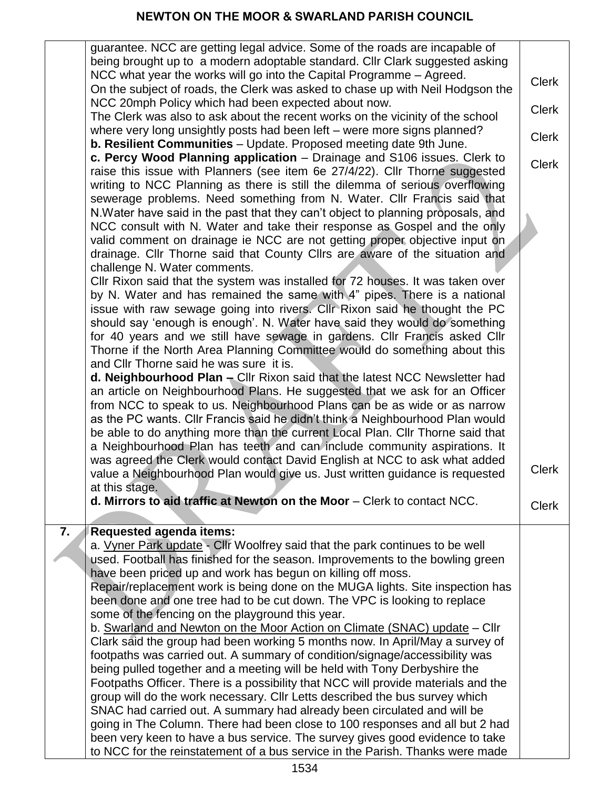|                  | guarantee. NCC are getting legal advice. Some of the roads are incapable of<br>being brought up to a modern adoptable standard. Cllr Clark suggested asking      |              |
|------------------|------------------------------------------------------------------------------------------------------------------------------------------------------------------|--------------|
|                  | NCC what year the works will go into the Capital Programme - Agreed.                                                                                             | <b>Clerk</b> |
|                  | On the subject of roads, the Clerk was asked to chase up with Neil Hodgson the<br>NCC 20mph Policy which had been expected about now.                            |              |
|                  | The Clerk was also to ask about the recent works on the vicinity of the school                                                                                   | <b>Clerk</b> |
|                  | where very long unsightly posts had been left – were more signs planned?<br><b>b. Resilient Communities</b> - Update. Proposed meeting date 9th June.            | <b>Clerk</b> |
|                  | c. Percy Wood Planning application - Drainage and S106 issues. Clerk to                                                                                          | <b>Clerk</b> |
|                  | raise this issue with Planners (see item 6e 27/4/22). Cllr Thorne suggested<br>writing to NCC Planning as there is still the dilemma of serious overflowing      |              |
|                  | sewerage problems. Need something from N. Water. Cllr Francis said that                                                                                          |              |
|                  | N. Water have said in the past that they can't object to planning proposals, and                                                                                 |              |
|                  | NCC consult with N. Water and take their response as Gospel and the only<br>valid comment on drainage ie NCC are not getting proper objective input on           |              |
|                  | drainage. Cllr Thorne said that County Cllrs are aware of the situation and                                                                                      |              |
|                  | challenge N. Water comments.<br>CIIr Rixon said that the system was installed for 72 houses. It was taken over                                                   |              |
|                  | by N. Water and has remained the same with 4" pipes. There is a national                                                                                         |              |
|                  | issue with raw sewage going into rivers. Cllr Rixon said he thought the PC                                                                                       |              |
|                  | should say 'enough is enough'. N. Water have said they would do something<br>for 40 years and we still have sewage in gardens. Cllr Francis asked Cllr           |              |
|                  | Thorne if the North Area Planning Committee would do something about this                                                                                        |              |
|                  | and CIIr Thorne said he was sure it is.<br>d. Neighbourhood Plan - Cllr Rixon said that the latest NCC Newsletter had                                            |              |
|                  | an article on Neighbourhood Plans. He suggested that we ask for an Officer                                                                                       |              |
|                  | from NCC to speak to us. Neighbourhood Plans can be as wide or as narrow<br>as the PC wants. Cllr Francis said he didn't think a Neighbourhood Plan would        |              |
|                  | be able to do anything more than the current Local Plan. Cllr Thorne said that                                                                                   |              |
|                  | a Neighbourhood Plan has teeth and can include community aspirations. It<br>was agreed the Clerk would contact David English at NCC to ask what added            |              |
|                  | value a Neighbourhood Plan would give us. Just written guidance is requested                                                                                     | <b>Clerk</b> |
|                  | at this stage.<br>d. Mirrors to aid traffic at Newton on the Moor - Clerk to contact NCC.                                                                        |              |
|                  |                                                                                                                                                                  | <b>Clerk</b> |
| $\overline{7}$ . | <b>Requested agenda items:</b>                                                                                                                                   |              |
|                  | a. Vyner Park update - Cllr Woolfrey said that the park continues to be well<br>used. Football has finished for the season. Improvements to the bowling green    |              |
|                  | have been priced up and work has begun on killing off moss.                                                                                                      |              |
|                  | Repair/replacement work is being done on the MUGA lights. Site inspection has<br>been done and one tree had to be cut down. The VPC is looking to replace        |              |
|                  | some of the fencing on the playground this year.                                                                                                                 |              |
|                  | b. Swarland and Newton on the Moor Action on Climate (SNAC) update - Cllr<br>Clark said the group had been working 5 months now. In April/May a survey of        |              |
|                  | footpaths was carried out. A summary of condition/signage/accessibility was                                                                                      |              |
|                  | being pulled together and a meeting will be held with Tony Derbyshire the                                                                                        |              |
|                  | Footpaths Officer. There is a possibility that NCC will provide materials and the<br>group will do the work necessary. Cllr Letts described the bus survey which |              |
|                  | SNAC had carried out. A summary had already been circulated and will be                                                                                          |              |
|                  | going in The Column. There had been close to 100 responses and all but 2 had<br>been very keen to have a bus service. The survey gives good evidence to take     |              |
|                  | to NCC for the reinstatement of a bus service in the Parish. Thanks were made                                                                                    |              |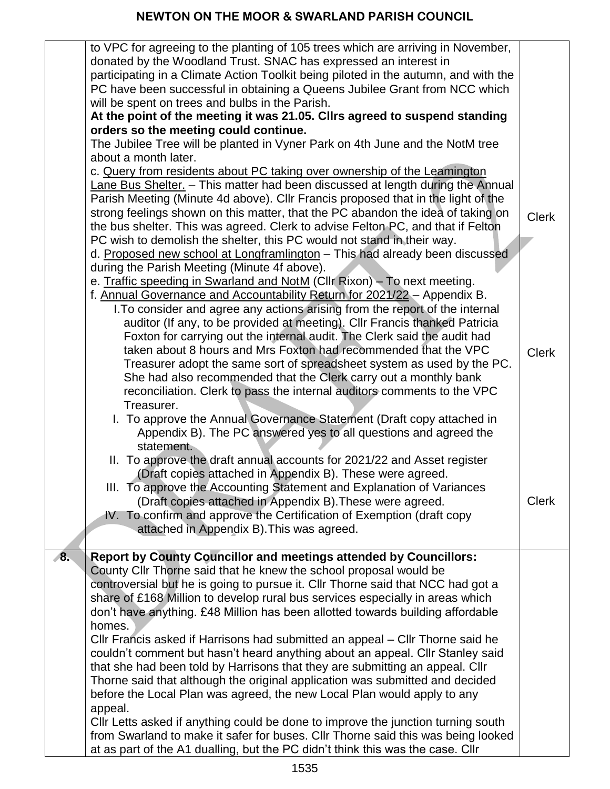|    | to VPC for agreeing to the planting of 105 trees which are arriving in November,<br>donated by the Woodland Trust. SNAC has expressed an interest in<br>participating in a Climate Action Toolkit being piloted in the autumn, and with the |              |
|----|---------------------------------------------------------------------------------------------------------------------------------------------------------------------------------------------------------------------------------------------|--------------|
|    | PC have been successful in obtaining a Queens Jubilee Grant from NCC which                                                                                                                                                                  |              |
|    | will be spent on trees and bulbs in the Parish.                                                                                                                                                                                             |              |
|    | At the point of the meeting it was 21.05. Cllrs agreed to suspend standing                                                                                                                                                                  |              |
|    | orders so the meeting could continue.                                                                                                                                                                                                       |              |
|    | The Jubilee Tree will be planted in Vyner Park on 4th June and the NotM tree<br>about a month later.                                                                                                                                        |              |
|    | c. Query from residents about PC taking over ownership of the Leamington                                                                                                                                                                    |              |
|    | Lane Bus Shelter. - This matter had been discussed at length during the Annual                                                                                                                                                              |              |
|    | Parish Meeting (Minute 4d above). Cllr Francis proposed that in the light of the                                                                                                                                                            |              |
|    | strong feelings shown on this matter, that the PC abandon the idea of taking on                                                                                                                                                             | <b>Clerk</b> |
|    | the bus shelter. This was agreed. Clerk to advise Felton PC, and that if Felton                                                                                                                                                             |              |
|    | PC wish to demolish the shelter, this PC would not stand in their way.                                                                                                                                                                      |              |
|    | d. Proposed new school at Longframlington - This had already been discussed<br>during the Parish Meeting (Minute 4f above).                                                                                                                 |              |
|    | e. Traffic speeding in Swarland and NotM (Cllr Rixon) - To next meeting.                                                                                                                                                                    |              |
|    | f. Annual Governance and Accountability Return for 2021/22 - Appendix B.                                                                                                                                                                    |              |
|    | I. To consider and agree any actions arising from the report of the internal                                                                                                                                                                |              |
|    | auditor (If any, to be provided at meeting). Cllr Francis thanked Patricia                                                                                                                                                                  |              |
|    | Foxton for carrying out the internal audit. The Clerk said the audit had<br>taken about 8 hours and Mrs Foxton had recommended that the VPC                                                                                                 |              |
|    | Treasurer adopt the same sort of spreadsheet system as used by the PC.                                                                                                                                                                      | <b>Clerk</b> |
|    | She had also recommended that the Clerk carry out a monthly bank                                                                                                                                                                            |              |
|    | reconciliation. Clerk to pass the internal auditors comments to the VPC                                                                                                                                                                     |              |
|    | Treasurer.                                                                                                                                                                                                                                  |              |
|    | I. To approve the Annual Governance Statement (Draft copy attached in                                                                                                                                                                       |              |
|    | Appendix B). The PC answered yes to all questions and agreed the                                                                                                                                                                            |              |
|    | statement.<br>II. To approve the draft annual accounts for 2021/22 and Asset register                                                                                                                                                       |              |
|    | (Draft copies attached in Appendix B). These were agreed.                                                                                                                                                                                   |              |
|    | III. To approve the Accounting Statement and Explanation of Variances                                                                                                                                                                       |              |
|    | (Draft copies attached in Appendix B). These were agreed.                                                                                                                                                                                   | <b>Clerk</b> |
|    | IV. To confirm and approve the Certification of Exemption (draft copy                                                                                                                                                                       |              |
|    | attached in Appendix B). This was agreed.                                                                                                                                                                                                   |              |
| 8. | <b>Report by County Councillor and meetings attended by Councillors:</b>                                                                                                                                                                    |              |
|    | County CIIr Thorne said that he knew the school proposal would be                                                                                                                                                                           |              |
|    | controversial but he is going to pursue it. Cllr Thorne said that NCC had got a                                                                                                                                                             |              |
|    | share of £168 Million to develop rural bus services especially in areas which                                                                                                                                                               |              |
|    | don't have anything. £48 Million has been allotted towards building affordable                                                                                                                                                              |              |
|    | homes.<br>Cllr Francis asked if Harrisons had submitted an appeal – Cllr Thorne said he                                                                                                                                                     |              |
|    | couldn't comment but hasn't heard anything about an appeal. Cllr Stanley said                                                                                                                                                               |              |
|    | that she had been told by Harrisons that they are submitting an appeal. Cllr                                                                                                                                                                |              |
|    | Thorne said that although the original application was submitted and decided                                                                                                                                                                |              |
|    | before the Local Plan was agreed, the new Local Plan would apply to any                                                                                                                                                                     |              |
|    | appeal.                                                                                                                                                                                                                                     |              |
|    | Cllr Letts asked if anything could be done to improve the junction turning south<br>from Swarland to make it safer for buses. Cllr Thorne said this was being looked                                                                        |              |
|    | at as part of the A1 dualling, but the PC didn't think this was the case. Cllr                                                                                                                                                              |              |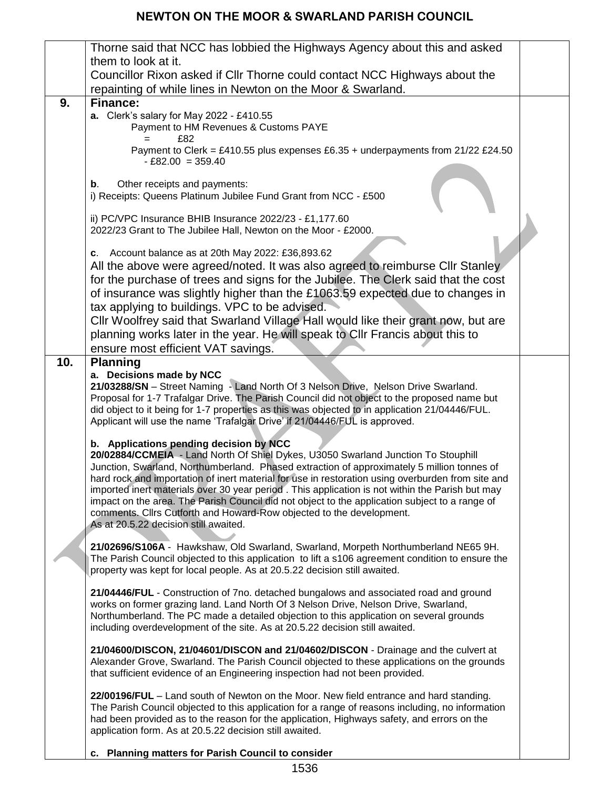|     | Thorne said that NCC has lobbied the Highways Agency about this and asked                                                                                                                            |  |
|-----|------------------------------------------------------------------------------------------------------------------------------------------------------------------------------------------------------|--|
|     | them to look at it.                                                                                                                                                                                  |  |
|     | Councillor Rixon asked if Cllr Thorne could contact NCC Highways about the                                                                                                                           |  |
|     | repainting of while lines in Newton on the Moor & Swarland.                                                                                                                                          |  |
| 9.  | <b>Finance:</b>                                                                                                                                                                                      |  |
|     | a. Clerk's salary for May 2022 - £410.55                                                                                                                                                             |  |
|     | Payment to HM Revenues & Customs PAYE                                                                                                                                                                |  |
|     | £82<br>Payment to Clerk = £410.55 plus expenses £6.35 + underpayments from 21/22 £24.50                                                                                                              |  |
|     | $-£82.00 = 359.40$                                                                                                                                                                                   |  |
|     |                                                                                                                                                                                                      |  |
|     | Other receipts and payments:<br>b.                                                                                                                                                                   |  |
|     | i) Receipts: Queens Platinum Jubilee Fund Grant from NCC - £500                                                                                                                                      |  |
|     | ii) PC/VPC Insurance BHIB Insurance 2022/23 - £1,177.60                                                                                                                                              |  |
|     | 2022/23 Grant to The Jubilee Hall, Newton on the Moor - £2000.                                                                                                                                       |  |
|     |                                                                                                                                                                                                      |  |
|     | c. Account balance as at 20th May 2022: £36,893.62                                                                                                                                                   |  |
|     | All the above were agreed/noted. It was also agreed to reimburse Cllr Stanley                                                                                                                        |  |
|     | for the purchase of trees and signs for the Jubilee. The Clerk said that the cost                                                                                                                    |  |
|     | of insurance was slightly higher than the £1063.59 expected due to changes in                                                                                                                        |  |
|     | tax applying to buildings. VPC to be advised.                                                                                                                                                        |  |
|     | CIIr Woolfrey said that Swarland Village Hall would like their grant now, but are                                                                                                                    |  |
|     | planning works later in the year. He will speak to Cllr Francis about this to<br>ensure most efficient VAT savings.                                                                                  |  |
| 10. | <b>Planning</b>                                                                                                                                                                                      |  |
|     | a. Decisions made by NCC                                                                                                                                                                             |  |
|     | 21/03288/SN - Street Naming - Land North Of 3 Nelson Drive, Nelson Drive Swarland.                                                                                                                   |  |
|     | Proposal for 1-7 Trafalgar Drive. The Parish Council did not object to the proposed name but                                                                                                         |  |
|     | did object to it being for 1-7 properties as this was objected to in application 21/04446/FUL.                                                                                                       |  |
|     | Applicant will use the name 'Trafalgar Drive' if 21/04446/FUL is approved.                                                                                                                           |  |
|     | b. Applications pending decision by NCC                                                                                                                                                              |  |
|     | 20/02884/CCMEIA - Land North Of Shiel Dykes, U3050 Swarland Junction To Stouphill                                                                                                                    |  |
|     | Junction, Swarland, Northumberland. Phased extraction of approximately 5 million tonnes of                                                                                                           |  |
|     | hard rock and importation of inert material for use in restoration using overburden from site and<br>imported inert materials over 30 year period. This application is not within the Parish but may |  |
|     | impact on the area. The Parish Council did not object to the application subject to a range of                                                                                                       |  |
|     | comments. Cllrs Cutforth and Howard-Row objected to the development.                                                                                                                                 |  |
|     | As at 20.5.22 decision still awaited.                                                                                                                                                                |  |
|     | 21/02696/S106A - Hawkshaw, Old Swarland, Swarland, Morpeth Northumberland NE65 9H.                                                                                                                   |  |
|     | The Parish Council objected to this application to lift a s106 agreement condition to ensure the                                                                                                     |  |
|     | property was kept for local people. As at 20.5.22 decision still awaited.                                                                                                                            |  |
|     | 21/04446/FUL - Construction of 7no. detached bungalows and associated road and ground                                                                                                                |  |
|     | works on former grazing land. Land North Of 3 Nelson Drive, Nelson Drive, Swarland,                                                                                                                  |  |
|     | Northumberland. The PC made a detailed objection to this application on several grounds                                                                                                              |  |
|     | including overdevelopment of the site. As at 20.5.22 decision still awaited.                                                                                                                         |  |
|     | 21/04600/DISCON, 21/04601/DISCON and 21/04602/DISCON - Drainage and the culvert at                                                                                                                   |  |
|     | Alexander Grove, Swarland. The Parish Council objected to these applications on the grounds                                                                                                          |  |
|     | that sufficient evidence of an Engineering inspection had not been provided.                                                                                                                         |  |
|     |                                                                                                                                                                                                      |  |
|     | 22/00196/FUL - Land south of Newton on the Moor. New field entrance and hard standing.                                                                                                               |  |
|     | The Parish Council objected to this application for a range of reasons including, no information<br>had been provided as to the reason for the application, Highways safety, and errors on the       |  |
|     | application form. As at 20.5.22 decision still awaited.                                                                                                                                              |  |
|     |                                                                                                                                                                                                      |  |
|     | c. Planning matters for Parish Council to consider                                                                                                                                                   |  |